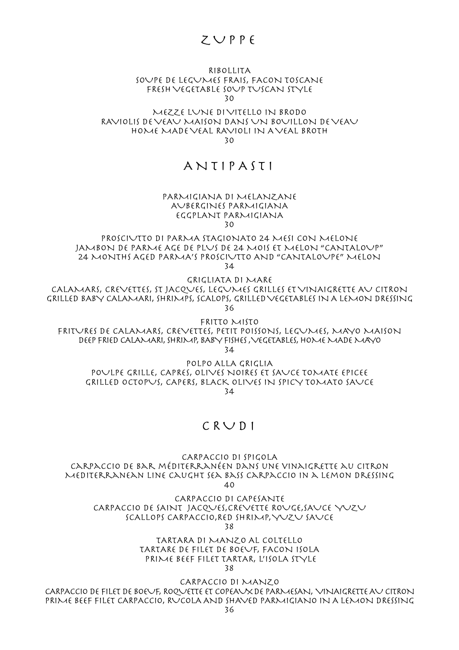# $Z \cup P P f$

### RIBOLLITA SOUPE DE LEGUMES FRAIS, FACON TOSCANE FRESH VEGETABLE SOUP TUSCAN STYLE 30

MEZZE LUNE DI VITELLO IN BRODO RAVIOLIS DE VEAU MAISON DANS UN BOUILLON DE VEAU HOME MADE VEAL RAVIOLI IN A VEAL BROTH 30

# ANTIPASTI

#### PARMIGIANA DI MELANZANE AUBERGINES PARMIGIANA EGGPLANT PARMIGIANA 30

PROSCIUTTO DI PARMA STAGIONATO 24 MESI CON MELONE JAMBON DE PARME AGE DE PLUS DE 24 MOIS ET MELON "CANTALOUP" 24 MONTHS AGED PARMA'S PROSCIUTTO AND "CANTALOUPE" MELON 34

GRIGLIATA DI MARE

CALAMARS, CREVETTES, ST JACQUES, LEGUMES GRILLES ET VINAIGRETTE AU CITRON GRILLED BABY CALAMARI, SHRIMPS, SCALOPS, GRILLED VEGETABLES IN A LEMON DRESSING 36

FRITTO MISTO

FRITURES DE CALAMARS, CREVETTES, PETIT POISSONS, LEGUMES, MAYO MAISON DEEP FRIED CALAMARI, SHRIMP, BABY FISHES , VEGETABLES, HOME MADE MAYO

34

POLPO ALLA GRIGLIA POULPE GRILLE, CAPRES, OLIVES NOIRES ET SAUCE TOMATE EPICEE GRILLED OCTOPUS, CAPERS, BLACK OLIVES IN SPICY TOMATO SAUCE 34

## CRUDI

CARPACCIO DI SPIGOLA carpaccio de bar méditerranéen dans une vinaigrette au citron Mediterranean line caught sea bass Carpaccio in a lemon dressing

40

CARPACCIO DI CAPESANTE CARPACCIO DE SAINT JACQUES,CREVETTE ROUGE,SAUCE YUZU SCALLOPS CARPACCIO,RED SHRIMP, YUZU SAUCE 38

> TARTARA DI MANZO AL COLTELLO TARTARE DE FILET DE BOEUF, FACON ISOLA PRIME BEEF FILET TARTAR, L'ISOLA STYLE 38

CARPACCIO DI MANZO CARPACCIO DE FILET DE BOEUF, ROQUETTE ET COPEAUX DE PARMESAN, VINAIGRETTE AU CITRON PRIME BEEF FILET CARPACCIO, RUCOLA AND SHAVED PARMIGIANO IN A LEMON DRESSING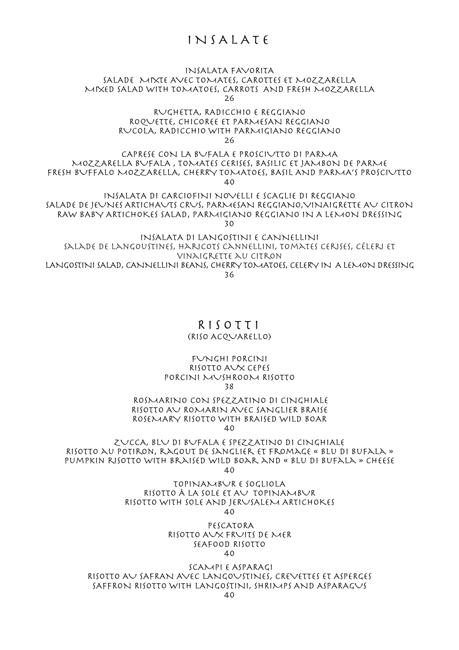# INSALATE

## INSALATA FAVORITA SALADE MIXTE AVEC TOMATES, CAROTTES ET MOZZARELLA MIXED SALAD WITH TOMATOES, CARROTS AND FRESH MOZZARELLA 26

#### RUGHETTA, RADICCHIO E REGGIANO ROQUETTE, CHICOREE ET PARMESAN REGGIANO RUCOLA, RADICCHIO WITH PARMIGIANO REGGIANO 26

CAPRESE CON LA BUFALA E PROSCIUTTO DI PARMA MOZZARELLA BUFALA , TOMATES CERISES, BASILIC ET JAMBON DE PARME FRESH BUFFALO MOZZARELLA, CHERRY TOMATOES, BASIL AND PARMA'S PROSCIUTTO 40

INSALATA DI CARCIOFINI NOVELLI E SCAGLIE DI REGGIANO SALADE DE JEUNES ARTICHAUTS CRUS, PARMESAN REGGIANO,VINAIGRETTE AU CITRON RAW BABY ARTICHOKES SALAD, PARMIGIANO REGGIANO IN A LEMON DRESSING 30

INSALATA DI LANGOSTINI E CANNELLINI salade de langoustines, haricots cannellini, tomates cerises, céleri et vinaigrette au citron LANGOSTINI SALAD, CANNELLINI BEANS, CHERRY TOMATOES, CELERY IN A LEMON DRESSING 36

## RISOTTI (RISO ACQUARELLO)

## FUNGHI PORCINI RISOTTO AUX CEPES PORCINI MUSHROOM RISOTTO 38

## ROSMARINO CON SPEZZATINO DI CINGHIALE RISOTTO AU ROMARIN AVEC SANGLIER BRAISE ROSEMARY RISOTTO WITH BRAISED WILD BOAR

 $40$ 

ZUCCA, BLU DI BUFALA E SPEZZATINO DI CINGHIALE Risotto au potiron, ragout de sanglier et fromage « blu di bufala » pumpkin risotto with braised wild boar and « blu di bufala » cheese  $40$ 

> TOPINAMBUR E SOGLIOLA RISOTTO À LA SOLE ET AV TOPINAMBUR RISOTTO WITH SOLE AND JERUSALEM ARTICHOKES 40

 PESCATORA RISOTTO AUX FRUITS DE MER SEAFOOD RISOTTO 40

 SCAMPI E ASPARAGI RISOTTO AU SAFRAN AVEC LANGOUSTINES, CREVETTES ET ASPERGES SAFFRON RISOTTO WITH LANGOSTINI, SHRIMPS AND ASPARAGUS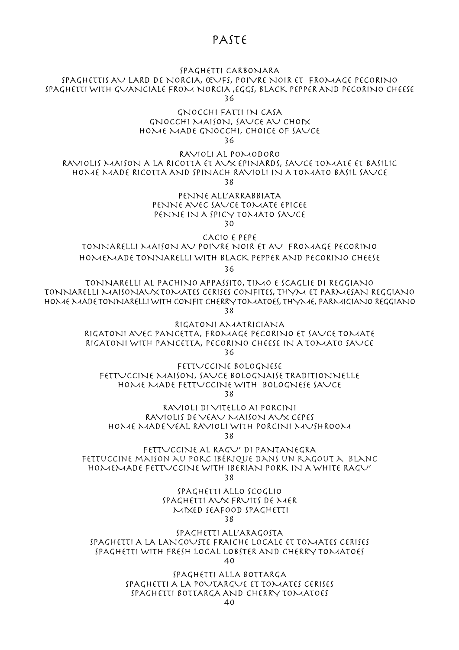## PASTE

### SPAGHETTI CARBONARA

SPAGHETTIS AU LARD DE NORCIA, ŒUFS, POIVRE NOIR ET FROMAGE PECORINO SPAGHETTI WITH GUANCIALE FROM NORCIA ,EGGS, BLACK PEPPER AND PECORINO CHEESE 36

> GNOCCHI FATTI IN CASA GNOCCHI MAISON, SAUCE AU CHOIX HOME MADE GNOCCHI, CHOICE OF SAUCE 36

RAVIOLI AL POMODORO RAVIOLIS MAISON A LA RICOTTA ET AUX EPINARDS, SAUCE TOMATE ET BASILIC HOME MADE RICOTTA AND SPINACH RAVIOLI IN A TOMATO BASIL SAUCE 38

> PENNE ALL'ARRABBIATA PENNE AVEC SAUCE TOMATE EPICEE PENNE IN A SPICY TOMATO SAUCE 30

CACIO E PEPE

TONNARELLI MAISON AU POIVRE NOIR ET AU FROMAGE PECORINO HOMEMADE TONNARELLI WITH BLACK PEPPER AND PECORINO CHEESE

36

TONNARELLI AL PACHINO APPASSIT0, TIMO E SCAGLIE DI REGGIANO TONNARELLI MAISONAUX TOMATES CERISES CONFITES, THYM ET PARMESAN REGGIANO HOME MADE TONNARELLI WITH CONFIT CHERRY TOMATOES, THYME, PARMIGIANO REGGIANO 38

> RIGATONI AMATRICIANA RIGATONI AVEC PANCETTA, FROMAGE PECORINO ET SAUCE TOMATE RIGATONI WITH PANCETTA, PECORINO CHEESE IN A TOMATO SAUCE 36

FETTUCCINE BOLOGNESE FETTUCCINE MAISON, SAUCE BOLOGNAISE TRADITIONNELLE HOME MADE FETTUCCINE WITH BOLOGNESE SAUCE 38

RAVIOLI DI VITELLO AI PORCINI RAVIOLIS DE VEAU MAISON AUX CEPES HOME MADE VEAL RAVIOLI WITH PORCINI MUSHROOM 38

FETTUCCINE AL RAGU' DI PANTANEGRA fettuccine maison au porc ibérique dans un ragout a blanc HOMEMADE FETTUCCINE WITH IBERIAN PORK IN A WHITE RAGU' 38

> SPAGHETTI ALLO SCOGLIO SPAGHETTI AUX FRUITS DE MER MIXED SEAFOOD SPAGHETTI 38

SPAGHETTI ALL'ARAGOSTA SPAGHETTI A LA LANGOUSTE FRAICHE LOCALE ET TOMATES CERISES SPAGHETTI WITH FRESH LOCAL LOBSTER AND CHERRY TOMATOES 40

> SPAGHETTI ALLA BOTTARGA SPAGHETTI A LA POUTARGUE ET TOMATES CERISES SPAGHETTI BOTTARGA AND CHERRY TOMATOES